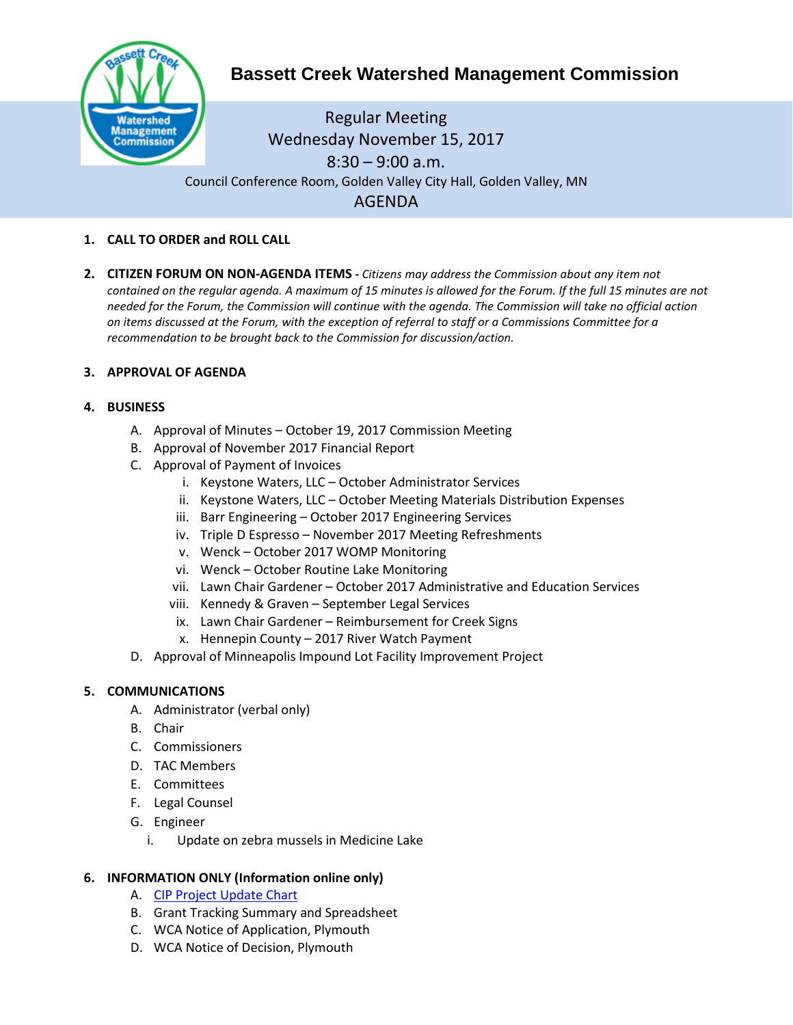

# **Bassett Creek Watershed Management Commission**

Regular Meeting Wednesday November 15, 2017 8:30 – 9:00 a.m. Council Conference Room, Golden Valley City Hall, Golden Valley, MN AGENDA

- **1. CALL TO ORDER and ROLL CALL**
- **2. CITIZEN FORUM ON NON-AGENDA ITEMS -** *Citizens may address the Commission about any item not contained on the regular agenda. A maximum of 15 minutes is allowed for the Forum. If the full 15 minutes are not needed for the Forum, the Commission will continue with the agenda. The Commission will take no official action on items discussed at the Forum, with the exception of referral to staff or a Commissions Committee for a recommendation to be brought back to the Commission for discussion/action.*

#### **3. APPROVAL OF AGENDA**

#### **4. BUSINESS**

- A. Approval of Minutes October 19, 2017 Commission Meeting
- B. Approval of November 2017 Financial Report
- C. Approval of Payment of Invoices
	- i. Keystone Waters, LLC October Administrator Services
	- ii. Keystone Waters, LLC October Meeting Materials Distribution Expenses
	- iii. Barr Engineering October 2017 Engineering Services
	- iv. Triple D Espresso November 2017 Meeting Refreshments
	- v. Wenck October 2017 WOMP Monitoring
	- vi. Wenck October Routine Lake Monitoring
	- vii. Lawn Chair Gardener October 2017 Administrative and Education Services
	- viii. Kennedy & Graven September Legal Services
	- ix. Lawn Chair Gardener Reimbursement for Creek Signs
	- x. Hennepin County 2017 River Watch Payment
- D. Approval of Minneapolis Impound Lot Facility Improvement Project

#### **5. COMMUNICATIONS**

- A. Administrator (verbal only)
- B. Chair
- C. Commissioners
- D. TAC Members
- E. Committees
- F. Legal Counsel
- G. Engineer
	- i. Update on zebra mussels in Medicine Lake

#### **6. INFORMATION ONLY (Information online only)**

- A. [CIP Project Update](http://www.bassettcreekwmo.org/download_file/view_inline/2865) Chart
- B. Grant Tracking Summary and Spreadsheet
- C. WCA Notice of Application, Plymouth
- D. WCA Notice of Decision, Plymouth